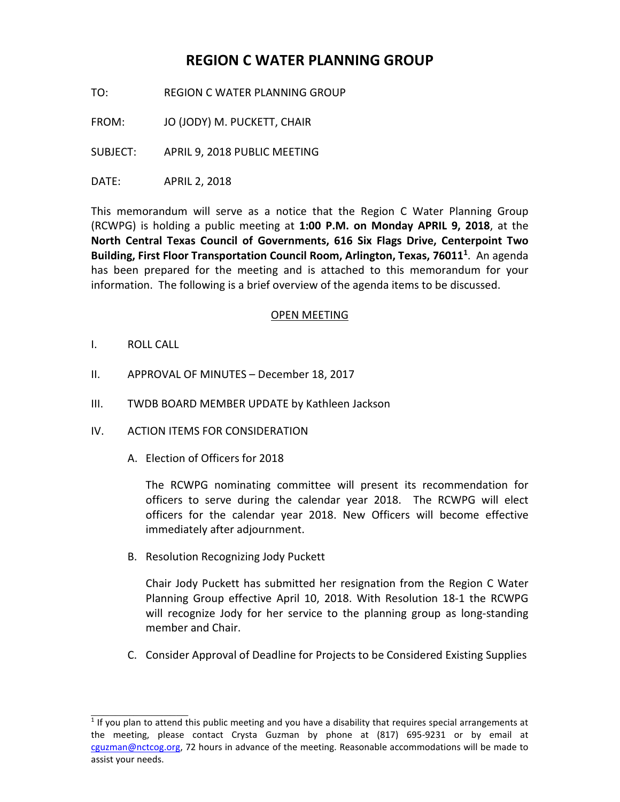## **REGION C WATER PLANNING GROUP**

TO: REGION C WATER PLANNING GROUP

FROM: JO (JODY) M. PUCKETT, CHAIR

SUBJECT: APRIL 9, 2018 PUBLIC MEETING

DATE: APRIL 2, 2018

This memorandum will serve as a notice that the Region C Water Planning Group (RCWPG) is holding a public meeting at **1:00 P.M. on Monday APRIL 9, 2018**, at the **North Central Texas Council of Governments, 616 Six Flags Drive, Centerpoint Two Building, First Floor Transportation Council Room, Arlington, Texas, 76011<sup>1</sup>** . An agenda has been prepared for the meeting and is attached to this memorandum for your information. The following is a brief overview of the agenda items to be discussed.

## OPEN MEETING

I. ROLL CALL

 $\_$ 

- II. APPROVAL OF MINUTES December 18, 2017
- III. TWDB BOARD MEMBER UPDATE by Kathleen Jackson
- IV. ACTION ITEMS FOR CONSIDERATION
	- A. Election of Officers for 2018

The RCWPG nominating committee will present its recommendation for officers to serve during the calendar year 2018. The RCWPG will elect officers for the calendar year 2018. New Officers will become effective immediately after adjournment.

B. Resolution Recognizing Jody Puckett

Chair Jody Puckett has submitted her resignation from the Region C Water Planning Group effective April 10, 2018. With Resolution 18-1 the RCWPG will recognize Jody for her service to the planning group as long-standing member and Chair.

C. Consider Approval of Deadline for Projects to be Considered Existing Supplies

<sup>&</sup>lt;sup>1</sup> If you plan to attend this public meeting and you have a disability that requires special arrangements at the meeting, please contact Crysta Guzman by phone at (817) 695-9231 or by email at cguzman@nctcog.org, 72 hours in advance of the meeting. Reasonable accommodations will be made to assist your needs.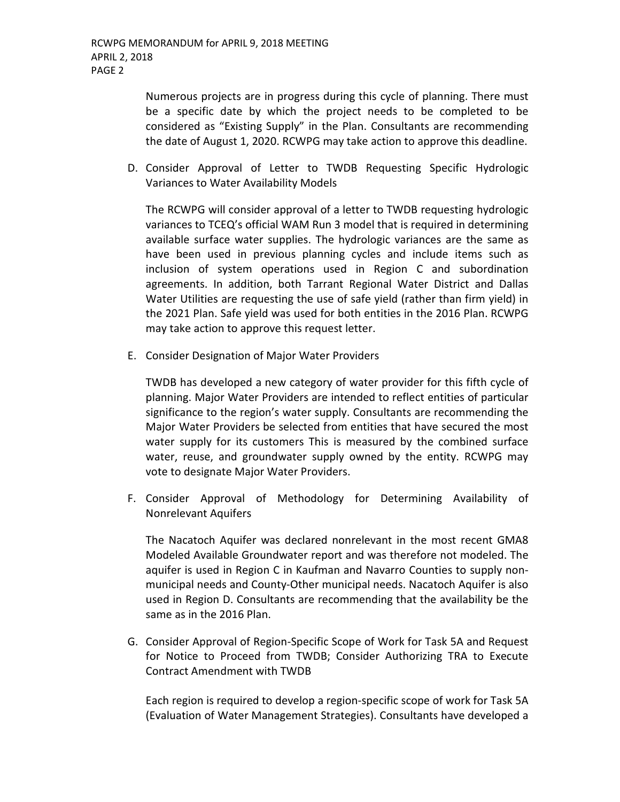Numerous projects are in progress during this cycle of planning. There must be a specific date by which the project needs to be completed to be considered as "Existing Supply" in the Plan. Consultants are recommending the date of August 1, 2020. RCWPG may take action to approve this deadline.

D. Consider Approval of Letter to TWDB Requesting Specific Hydrologic Variances to Water Availability Models

The RCWPG will consider approval of a letter to TWDB requesting hydrologic variances to TCEQ's official WAM Run 3 model that is required in determining available surface water supplies. The hydrologic variances are the same as have been used in previous planning cycles and include items such as inclusion of system operations used in Region C and subordination agreements. In addition, both Tarrant Regional Water District and Dallas Water Utilities are requesting the use of safe yield (rather than firm yield) in the 2021 Plan. Safe yield was used for both entities in the 2016 Plan. RCWPG may take action to approve this request letter.

E. Consider Designation of Major Water Providers

TWDB has developed a new category of water provider for this fifth cycle of planning. Major Water Providers are intended to reflect entities of particular significance to the region's water supply. Consultants are recommending the Major Water Providers be selected from entities that have secured the most water supply for its customers This is measured by the combined surface water, reuse, and groundwater supply owned by the entity. RCWPG may vote to designate Major Water Providers.

F. Consider Approval of Methodology for Determining Availability of Nonrelevant Aquifers

The Nacatoch Aquifer was declared nonrelevant in the most recent GMA8 Modeled Available Groundwater report and was therefore not modeled. The aquifer is used in Region C in Kaufman and Navarro Counties to supply nonmunicipal needs and County-Other municipal needs. Nacatoch Aquifer is also used in Region D. Consultants are recommending that the availability be the same as in the 2016 Plan.

G. Consider Approval of Region-Specific Scope of Work for Task 5A and Request for Notice to Proceed from TWDB; Consider Authorizing TRA to Execute Contract Amendment with TWDB

Each region is required to develop a region-specific scope of work for Task 5A (Evaluation of Water Management Strategies). Consultants have developed a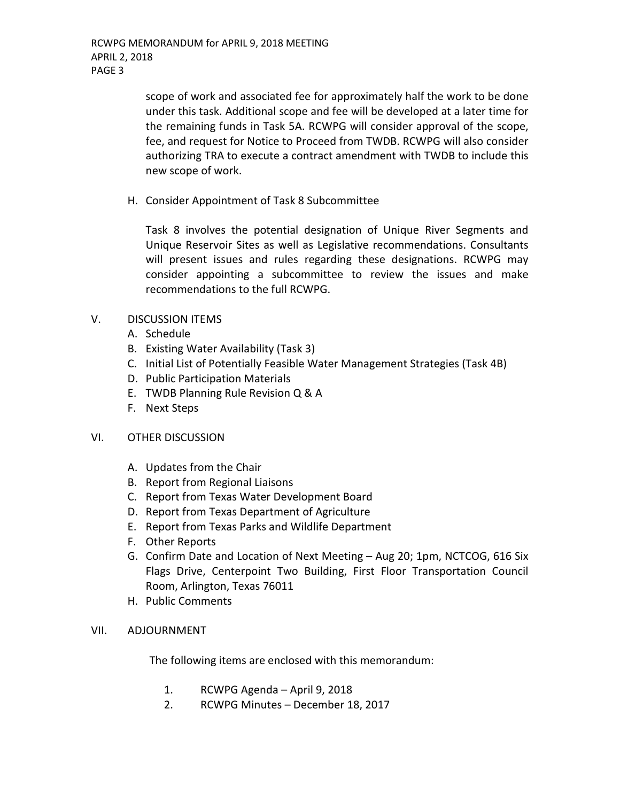scope of work and associated fee for approximately half the work to be done under this task. Additional scope and fee will be developed at a later time for the remaining funds in Task 5A. RCWPG will consider approval of the scope, fee, and request for Notice to Proceed from TWDB. RCWPG will also consider authorizing TRA to execute a contract amendment with TWDB to include this new scope of work.

H. Consider Appointment of Task 8 Subcommittee

Task 8 involves the potential designation of Unique River Segments and Unique Reservoir Sites as well as Legislative recommendations. Consultants will present issues and rules regarding these designations. RCWPG may consider appointing a subcommittee to review the issues and make recommendations to the full RCWPG.

- V. DISCUSSION ITEMS
	- A. Schedule
	- B. Existing Water Availability (Task 3)
	- C. Initial List of Potentially Feasible Water Management Strategies (Task 4B)
	- D. Public Participation Materials
	- E. TWDB Planning Rule Revision Q & A
	- F. Next Steps

## VI. OTHER DISCUSSION

- A. Updates from the Chair
- B. Report from Regional Liaisons
- C. Report from Texas Water Development Board
- D. Report from Texas Department of Agriculture
- E. Report from Texas Parks and Wildlife Department
- F. Other Reports
- G. Confirm Date and Location of Next Meeting Aug 20; 1pm, NCTCOG, 616 Six Flags Drive, Centerpoint Two Building, First Floor Transportation Council Room, Arlington, Texas 76011
- H. Public Comments

## VII. ADJOURNMENT

The following items are enclosed with this memorandum:

- 1. RCWPG Agenda April 9, 2018
- 2. RCWPG Minutes December 18, 2017